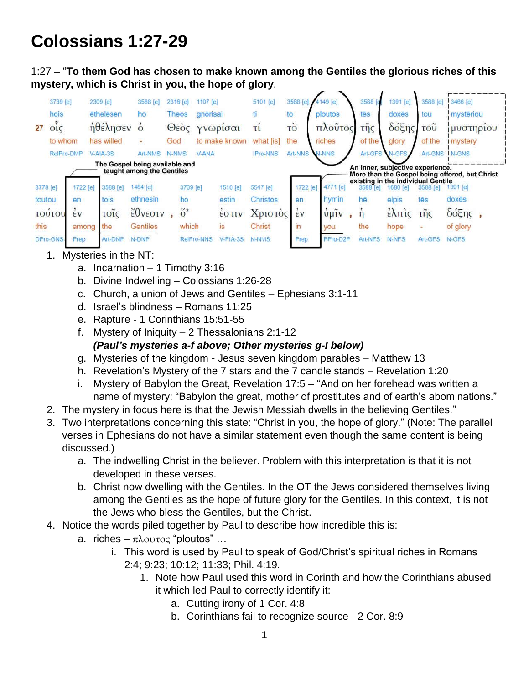## **Colossians 1:27-29**

1:27 – "**To them God has chosen to make known among the Gentiles the glorious riches of this mystery, which is Christ in you, the hope of glory**.



- 1. Mysteries in the NT:
	- a. Incarnation 1 Timothy 3:16
	- b. Divine Indwelling Colossians 1:26-28
	- c. Church, a union of Jews and Gentiles Ephesians 3:1-11
	- d. Israel's blindness Romans 11:25
	- e. Rapture 1 Corinthians 15:51-55
	- f. Mystery of Iniquity 2 Thessalonians 2:1-12 *(Paul's mysteries a-f above; Other mysteries g-I below)*
	- g. Mysteries of the kingdom Jesus seven kingdom parables Matthew 13
	- h. Revelation's Mystery of the 7 stars and the 7 candle stands Revelation 1:20
	- i. Mystery of Babylon the Great, Revelation 17:5 "And on her forehead was written a name of mystery: "Babylon the great, mother of prostitutes and of earth's abominations."
- 2. The mystery in focus here is that the Jewish Messiah dwells in the believing Gentiles."
- 3. Two interpretations concerning this state: "Christ in you, the hope of glory." (Note: The parallel verses in Ephesians do not have a similar statement even though the same content is being discussed.)
	- a. The indwelling Christ in the believer. Problem with this interpretation is that it is not developed in these verses.
	- b. Christ now dwelling with the Gentiles. In the OT the Jews considered themselves living among the Gentiles as the hope of future glory for the Gentiles. In this context, it is not the Jews who bless the Gentiles, but the Christ.
- 4. Notice the words piled together by Paul to describe how incredible this is:
	- a. riches  $\pi \lambda$ ovtoc "ploutos" ...
		- i. This word is used by Paul to speak of God/Christ's spiritual riches in Romans 2:4; 9:23; 10:12; 11:33; Phil. 4:19.
			- 1. Note how Paul used this word in Corinth and how the Corinthians abused it which led Paul to correctly identify it:
				- a. Cutting irony of 1 Cor. 4:8
				- b. Corinthians fail to recognize source 2 Cor. 8:9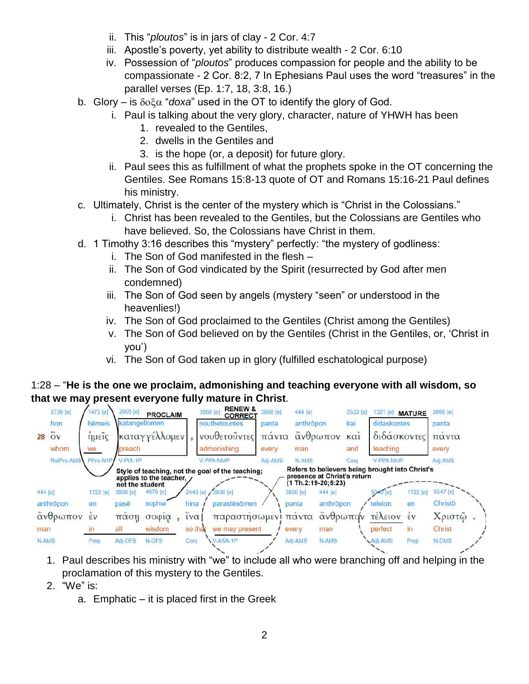- ii. This "*ploutos*" is in jars of clay 2 Cor. 4:7
- iii. Apostle's poverty, yet ability to distribute wealth 2 Cor. 6:10
- iv. Possession of "*ploutos*" produces compassion for people and the ability to be compassionate - 2 Cor. 8:2, 7 In Ephesians Paul uses the word "treasures" in the parallel verses (Ep. 1:7, 18, 3:8, 16.)
- b. Glory is  $\delta$ <sup>o</sup> $\alpha$  "*doxa*" used in the OT to identify the glory of God.
	- i. Paul is talking about the very glory, character, nature of YHWH has been
		- 1. revealed to the Gentiles,
		- 2. dwells in the Gentiles and
		- 3. is the hope (or, a deposit) for future glory.
	- ii. Paul sees this as fulfillment of what the prophets spoke in the OT concerning the Gentiles. See Romans 15:8-13 quote of OT and Romans 15:16-21 Paul defines his ministry.
- c. Ultimately, Christ is the center of the mystery which is "Christ in the Colossians."
	- i. Christ has been revealed to the Gentiles, but the Colossians are Gentiles who have believed. So, the Colossians have Christ in them.
- d. 1 Timothy 3:16 describes this "mystery" perfectly: "the mystery of godliness:
	- i. The Son of God manifested in the flesh –
	- ii. The Son of God vindicated by the Spirit (resurrected by God after men condemned)
	- iii. The Son of God seen by angels (mystery "seen" or understood in the heavenlies!)
	- iv. The Son of God proclaimed to the Gentiles (Christ among the Gentiles)
	- v. The Son of God believed on by the Gentiles (Christ in the Gentiles, or, 'Christ in you')
	- vi. The Son of God taken up in glory (fulfilled eschatological purpose)

## 1:28 – "**He is the one we proclaim, admonishing and teaching everyone with all wisdom, so**



- 1. Paul describes his ministry with "we" to include all who were branching off and helping in the proclamation of this mystery to the Gentiles.
- 2. "We" is:
	- a. Emphatic it is placed first in the Greek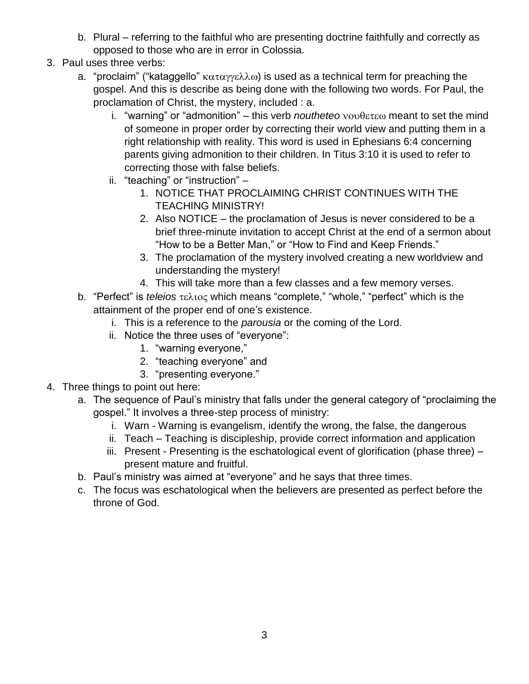- b. Plural referring to the faithful who are presenting doctrine faithfully and correctly as opposed to those who are in error in Colossia.
- 3. Paul uses three verbs:
	- a. "proclaim" ("kataggello"  $\kappa \alpha \tau \alpha \gamma \kappa \lambda \omega$ ) is used as a technical term for preaching the gospel. And this is describe as being done with the following two words. For Paul, the proclamation of Christ, the mystery, included : a.
		- i. "warning" or "admonition" this verb *noutheteo* νουθετεω meant to set the mind of someone in proper order by correcting their world view and putting them in a right relationship with reality. This word is used in Ephesians 6:4 concerning parents giving admonition to their children. In Titus 3:10 it is used to refer to correcting those with false beliefs.
		- ii. "teaching" or "instruction"
			- 1. NOTICE THAT PROCLAIMING CHRIST CONTINUES WITH THE TEACHING MINISTRY!
			- 2. Also NOTICE the proclamation of Jesus is never considered to be a brief three-minute invitation to accept Christ at the end of a sermon about "How to be a Better Man," or "How to Find and Keep Friends."
			- 3. The proclamation of the mystery involved creating a new worldview and understanding the mystery!
			- 4. This will take more than a few classes and a few memory verses.
	- b. "Perfect" is *teleios* τελιος which means "complete," "whole," "perfect" which is the attainment of the proper end of one's existence.
		- i. This is a reference to the *parousia* or the coming of the Lord.
		- ii. Notice the three uses of "everyone":
			- 1. "warning everyone,"
			- 2. "teaching everyone" and
			- 3. "presenting everyone."
- 4. Three things to point out here:
	- a. The sequence of Paul's ministry that falls under the general category of "proclaiming the gospel." It involves a three-step process of ministry:
		- i. Warn Warning is evangelism, identify the wrong, the false, the dangerous
		- ii. Teach Teaching is discipleship, provide correct information and application
		- iii. Present Presenting is the eschatological event of glorification (phase three) present mature and fruitful.
	- b. Paul's ministry was aimed at "everyone" and he says that three times.
	- c. The focus was eschatological when the believers are presented as perfect before the throne of God.